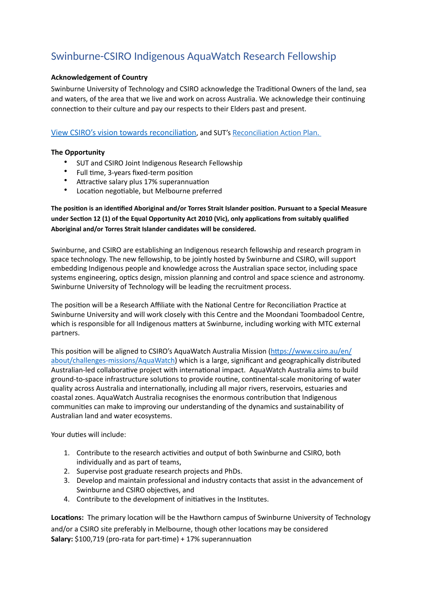# Swinburne-CSIRO Indigenous AquaWatch Research Fellowship

## **Acknowledgement of Country**

Swinburne University of Technology and CSIRO acknowledge the Traditional Owners of the land, sea and waters, of the area that we live and work on across Australia. We acknowledge their continuing connection to their culture and pay our respects to their Elders past and present.

View CSIRO's vision towards reconciliation, and SUT's [Reconciliation Action Plan.](http://www.swinburne.edu.au/about/our-unRiversity/indigenous-matters/reconciliation-action-plan/)

## **The Opportunity**

- SUT and CSIRO Joint Indigenous Research Fellowship
- Full time, 3-years fixed-term position
- Attractive salary plus 17% superannuation
- Location negotiable, but Melbourne preferred

The position is an identified Aboriginal and/or Torres Strait Islander position. Pursuant to a Special Measure under Section 12 (1) of the Equal Opportunity Act 2010 (Vic), only applications from suitably qualified **Aboriginal and/or Torres Strait Islander candidates will be considered.** 

Swinburne, and CSIRO are establishing an Indigenous research fellowship and research program in space technology. The new fellowship, to be jointly hosted by Swinburne and CSIRO, will support embedding Indigenous people and knowledge across the Australian space sector, including space systems engineering, optics design, mission planning and control and space science and astronomy. Swinburne University of Technology will be leading the recruitment process.

The position will be a Research Affiliate with the National Centre for Reconciliation Practice at Swinburne University and will work closely with this Centre and the Moondani Toombadool Centre, which is responsible for all Indigenous matters at Swinburne, including working with MTC external partners. 

This position will be aligned to CSIRO's AquaWatch Australia Mission (https://www.csiro.au/en/ [about/challenges-missions/AquaWatch\)](https://www.csiro.au/en/about/challenges-missions/AquaWatch) which is a large, significant and geographically distributed Australian-led collaborative project with international impact. AquaWatch Australia aims to build ground-to-space infrastructure solutions to provide routine, continental-scale monitoring of water quality across Australia and internationally, including all major rivers, reservoirs, estuaries and coastal zones. AquaWatch Australia recognises the enormous contribution that Indigenous communities can make to improving our understanding of the dynamics and sustainability of Australian land and water ecosystems.

Your duties will include:

- 1. Contribute to the research activities and output of both Swinburne and CSIRO, both individually and as part of teams,
- 2. Supervise post graduate research projects and PhDs.
- 3. Develop and maintain professional and industry contacts that assist in the advancement of Swinburne and CSIRO objectives, and
- 4. Contribute to the development of initiatives in the Institutes.

**Locations:** The primary location will be the Hawthorn campus of Swinburne University of Technology and/or a CSIRO site preferably in Melbourne, though other locations may be considered **Salary:** \$100,719 (pro-rata for part-time) + 17% superannuation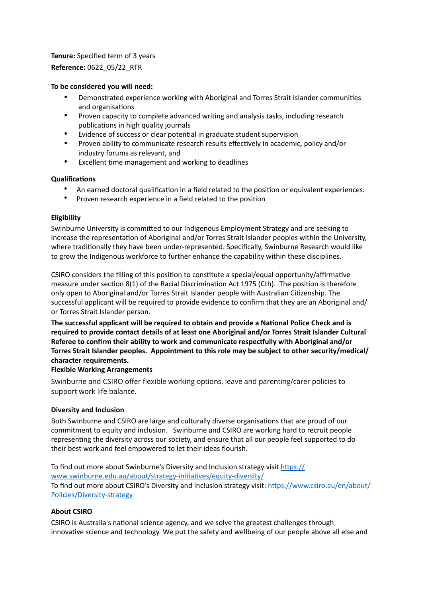# **Tenure:** Specified term of 3 years **Reference:** 0622\_05/22\_RTR

## **To be considered you will need:**

- Demonstrated experience working with Aboriginal and Torres Strait Islander communities and organisations
- Proven capacity to complete advanced writing and analysis tasks, including research publications in high quality journals
- Evidence of success or clear potential in graduate student supervision
- Proven ability to communicate research results effectively in academic, policy and/or industry forums as relevant, and
- Excellent time management and working to deadlines

## **Qualifications**

- An earned doctoral qualification in a field related to the position or equivalent experiences.
- Proven research experience in a field related to the position

## **Eligibility**

Swinburne University is committed to our Indigenous Employment Strategy and are seeking to increase the representation of Aboriginal and/or Torres Strait Islander peoples within the University, where traditionally they have been under-represented. Specifically, Swinburne Research would like to grow the Indigenous workforce to further enhance the capability within these disciplines.

CSIRO considers the filling of this position to constitute a special/equal opportunity/affirmative measure under section  $8(1)$  of the Racial Discrimination Act 1975 (Cth). The position is therefore only open to Aboriginal and/or Torres Strait Islander people with Australian Citizenship. The successful applicant will be required to provide evidence to confirm that they are an Aboriginal and/ or Torres Strait Islander person.

The successful applicant will be required to obtain and provide a National Police Check and is **required to provide contact details of at least one Aboriginal and/or Torres Strait Islander Cultural**  Referee to confirm their ability to work and communicate respectfully with Aboriginal and/or **Torres Strait Islander peoples. Appointment to this role may be subject to other security/medical/ character requirements.**

### **Flexible Working Arrangements**

Swinburne and CSIRO offer flexible working options, leave and parenting/carer policies to support work life balance.

### **Diversity and Inclusion**

Both Swinburne and CSIRO are large and culturally diverse organisations that are proud of our commitment to equity and inclusion. Swinburne and CSIRO are working hard to recruit people representing the diversity across our society, and ensure that all our people feel supported to do their best work and feel empowered to let their ideas flourish.

To find out more about Swinburne's Diversity and Inclusion strategy visit https:// www.swinburne.edu.au/about/strategy-initiatives/equity-diversity/ To find out more about CSIRO's Diversity and Inclusion strategy visit: https://www.csiro.au/en/about/ [Policies/Diversity-strategy](https://www.csiro.au/en/about/Policies/Diversity-strategy)

# **About CSIRO**

CSIRO is Australia's national science agency, and we solve the greatest challenges through innovative science and technology. We put the safety and wellbeing of our people above all else and